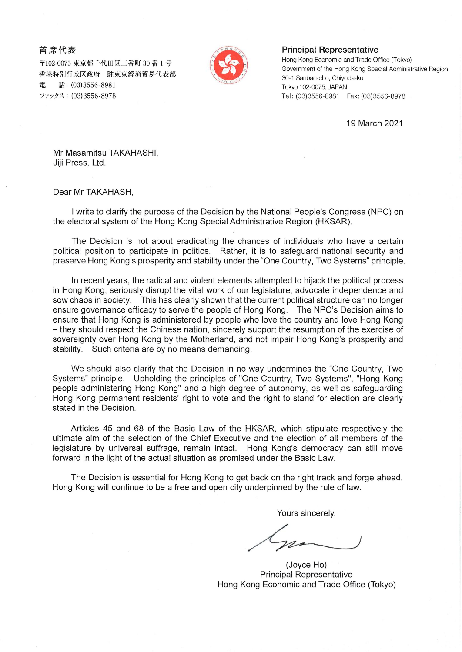## 首席代表

〒102-0075 東京都千代田区三番町 30 番 1 号 香港特別行政区政府 駐東京経済貿易代表部 話: (03)3556-8981 ファックス: (03)3556-8978



## PrincipaI Representative

Hong Kong Economic and Trade Office (Tokyo) Government of the Hong Kong Special Administrative Region 30-1 Sanban-cho, Chiyoda-ku Tokyo 102-0075, JAPAN Tel: (03)3556-8981 Fax: (03)3556-8978

19March 2021

Mr Masamitsu TAKAHASH1, Jiji Press, Ltd.

Dear Mr tAKAHASH,

1 write to clarify the purpose of the Decision by the National People's Congress (NPC) on the electoral system of the Hong Kong Special Administrative Region (HKSAR).

The Decision is not about eradicating the chances of individuals who have a certain political position to participate in politics. Rather, it is to safeguard national security and preserve Hong Kong's prosperity and stability under the "One Country, Two Systems" principle.

In recent years, the radical and violent elements attempted to hijack the political process in Hong Kong, seriously disrupt the vital work of our legislature, advocate independence and sow chaos in society. This has clearly shown that the current political structure can no longer ensure governance efficacy to serve the people of Hong Kong. The NPC's Decision aims to ensure that Hong Kong is administered by people who love the country and love Hong Kong - they should respect the Chinese nation, sincerely support the resumption of the exercise of sovereignty over Hong Kong by the Motherland, and not impair Hong Kong's prosperity and stability. Such criteria are by no means demanding.

We should also clarify that the Decision in no way undermines the "One Country, Two Systems" principle. Upholding the principles of "One Country, Two Systems", "Hong Kong people administering Hong Kong" and a high degree of autonomy, as well as safeguarding Hong Kong permanent residents' right to vote and the right to stand for election are clearly stated in the Decision.

Articles 45 and 68 of the Basic Law of the HKSAR, which stipulate respectively the ultimate aim of the selection of the Chief Executive and the election of all members of the legislature by universal suffrage, remain intact. Hong Kong's democracy can still move forward in the light of the actual situation as promised under the Basic Law.

The Decision is essential for Hong Kong to get back on the right track and forge ahead. Hong Kong will continue to be a free and open city underpinned by the rule of law.

Yours sincerely,

(Joyce Ho) PrincipaI Representative Hong Kong Economic and Trade Office (Tokyo)